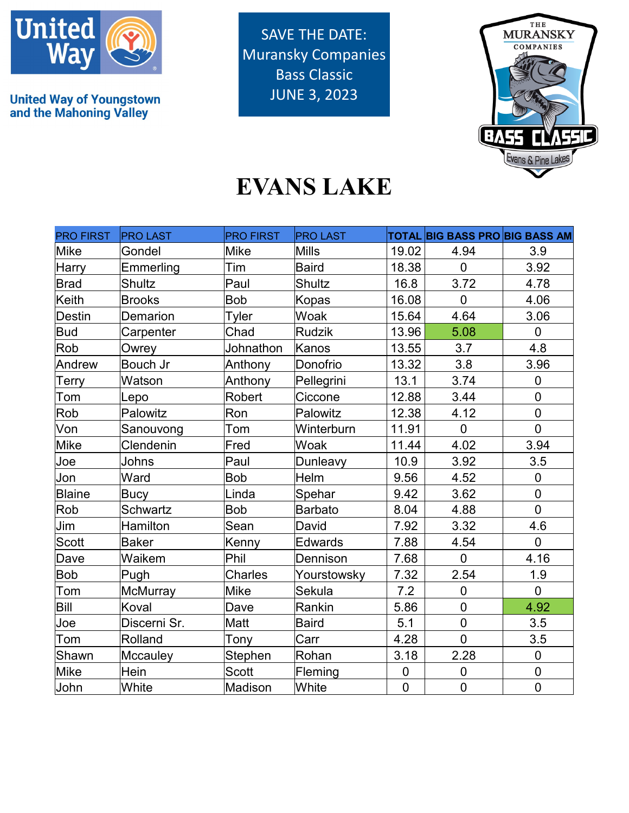

**United Way of Youngstown<br>and the Mahoning Valley** 

SAVE THE DATE: Muransky Companies Bass Classic JUNE 3, 2023



## **EVANS LAKE**

| <b>PRO FIRST</b> | <b>PRO LAST</b> | <b>PRO FIRST</b> | <b>PRO LAST</b> |                | <b>TOTAL BIG BASS PRO BIG BASS AM</b> |                |
|------------------|-----------------|------------------|-----------------|----------------|---------------------------------------|----------------|
| <b>Mike</b>      | Gondel          | <b>Mike</b>      | <b>Mills</b>    | 19.02          | 4.94                                  | 3.9            |
| Harry            | Emmerling       | Tim              | <b>Baird</b>    | 18.38          | $\Omega$                              | 3.92           |
| <b>Brad</b>      | <b>Shultz</b>   | Paul             | <b>Shultz</b>   | 16.8           | 3.72                                  | 4.78           |
| <b>Keith</b>     | <b>Brooks</b>   | <b>Bob</b>       | <b>Kopas</b>    | 16.08          | $\overline{0}$                        | 4.06           |
| <b>Destin</b>    | Demarion        | Tyler            | Woak            | 15.64          | 4.64                                  | 3.06           |
| <b>Bud</b>       | Carpenter       | Chad             | <b>Rudzik</b>   | 13.96          | 5.08                                  | $\overline{0}$ |
| Rob              | Owrey           | Johnathon        | Kanos           | 13.55          | 3.7                                   | 4.8            |
| Andrew           | Bouch Jr        | Anthony          | Donofrio        | 13.32          | 3.8                                   | 3.96           |
| Terry            | Watson          | Anthony          | Pellegrini      | 13.1           | 3.74                                  | $\mathbf 0$    |
| Tom              | Lepo            | Robert           | Ciccone         | 12.88          | 3.44                                  | $\mathbf 0$    |
| Rob              | Palowitz        | Ron              | Palowitz        | 12.38          | 4.12                                  | $\overline{0}$ |
| Von              | Sanouvong       | Tom              | Winterburn      | 11.91          | $\overline{0}$                        | $\overline{0}$ |
| <b>Mike</b>      | Clendenin       | Fred             | Woak            | 11.44          | 4.02                                  | 3.94           |
| Joe              | Johns           | Paul             | Dunleavy        | 10.9           | 3.92                                  | 3.5            |
| Jon              | Ward            | Bob              | Helm            | 9.56           | 4.52                                  | $\pmb{0}$      |
| Blaine           | <b>Bucy</b>     | Linda            | Spehar          | 9.42           | 3.62                                  | $\overline{0}$ |
| Rob              | <b>Schwartz</b> | <b>Bob</b>       | <b>Barbato</b>  | 8.04           | 4.88                                  | $\mathbf 0$    |
| Jim              | Hamilton        | Sean             | David           | 7.92           | 3.32                                  | 4.6            |
| <b>Scott</b>     | <b>Baker</b>    | Kenny            | <b>Edwards</b>  | 7.88           | 4.54                                  | $\overline{0}$ |
| Dave             | Waikem          | Phil             | Dennison        | 7.68           | $\overline{0}$                        | 4.16           |
| Bob              | Pugh            | <b>Charles</b>   | Yourstowsky     | 7.32           | 2.54                                  | 1.9            |
| Tom              | McMurray        | Mike             | Sekula          | 7.2            | $\overline{0}$                        | $\overline{0}$ |
| Bill             | Koval           | Dave             | Rankin          | 5.86           | $\overline{0}$                        | 4.92           |
| Joe              | Discerni Sr.    | Matt             | <b>Baird</b>    | 5.1            | $\overline{0}$                        | 3.5            |
| Tom              | Rolland         | Tony             | Carr            | 4.28           | $\overline{0}$                        | 3.5            |
| Shawn            | Mccauley        | Stephen          | Rohan           | 3.18           | 2.28                                  | $\pmb{0}$      |
| Mike             | Hein            | <b>Scott</b>     | Fleming         | $\pmb{0}$      | $\mathbf 0$                           | $\pmb{0}$      |
| John             | White           | <b>Madison</b>   | White           | $\overline{0}$ | $\overline{0}$                        | $\mathbf 0$    |